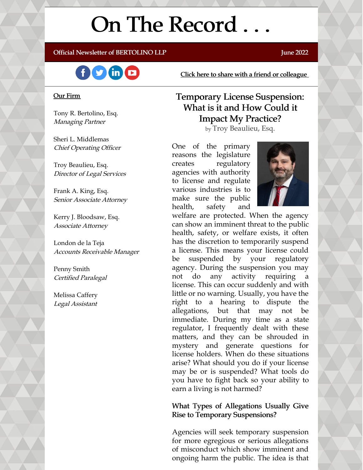# On The Record . . .

### Official Newsletter of BERTOLINO LLP **Fig. 10.1 and 2022** June 2022



Click here to share with a friend or [colleague](https://visitor.r20.constantcontact.com/manage/optin?v=001xvcZBIZGArRYZxP_ENhTFsnPqgcrAHF_8FAGh0C6OoU_TYzgqPeo9kiI5F5Vb-xdZP7jClYZWX2ttQp6Q7JygJ1sq0DH9MDHJwjzNoREDc4=)

#### Our Firm

Tony R. Bertolino, Esq. Managing Partner

Sheri L. Middlemas Chief Operating Officer

Troy Beaulieu, Esq. Director of Legal Services

Frank A. King, Esq. Senior Associate Attorney

Kerry J. Bloodsaw, Esq. Associate Attorney

London de la Teja Accounts Receivable Manager

Penny Smith Certified Paralegal

Melissa Caffery Legal Assistant

### Temporary License Suspension: What is it and How Could it Impact My Practice?

by Troy Beaulieu, Esq.

One of the primary reasons the legislature creates regulatory agencies with authority to license and regulate various industries is to make sure the public health, safety and



welfare are protected. When the agency can show an imminent threat to the public health, safety, or welfare exists, it often has the discretion to temporarily suspend a license. This means your license could be suspended by your regulatory agency. During the suspension you may not do any activity requiring license. This can occur suddenly and with little or no warning. Usually, you have the right to a hearing to dispute the allegations, but that may not be immediate. During my time as a state regulator, I frequently dealt with these matters, and they can be shrouded in mystery and generate questions for license holders. When do these situations arise? What should you do if your license may be or is suspended? What tools do you have to fight back so your ability to earn a living is not harmed?

### What Types of Allegations Usually Give Rise to Temporary Suspensions?

Agencies will seek temporary suspension for more egregious or serious allegations of misconduct which show imminent and ongoing harm the public. The idea is that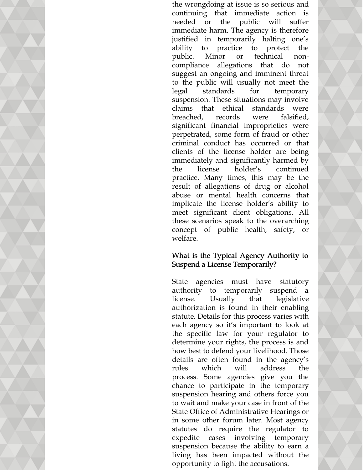the wrongdoing at issue is so serious and continuing that immediate action is needed or the public will suffer immediate harm. The agency is therefore justified in temporarily halting one's ability to practice to protect the public. Minor or technical noncompliance allegations that do not suggest an ongoing and imminent threat to the public will usually not meet the legal standards for temporary suspension. These situations may involve claims that ethical standards were breached, records were falsified, significant financial improprieties were perpetrated, some form of fraud or other criminal conduct has occurred or that clients of the license holder are being immediately and significantly harmed by the license holder's continued practice. Many times, this may be the result of allegations of drug or alcohol abuse or mental health concerns that implicate the license holder's ability to meet significant client obligations. All these scenarios speak to the overarching concept of public health, safety, or welfare.

### What is the Typical Agency Authority to Suspend a License Temporarily?

State agencies must have statutory authority to temporarily suspend a license. Usually that legislative authorization is found in their enabling statute. Details for this process varies with each agency so it's important to look at the specific law for your regulator to determine your rights, the process is and how best to defend your livelihood. Those details are often found in the agency's rules which will address the process. Some agencies give you the chance to participate in the temporary suspension hearing and others force you to wait and make your case in front of the State Office of Administrative Hearings or in some other forum later. Most agency statutes do require the regulator to expedite cases involving temporary suspension because the ability to earn a living has been impacted without the opportunity to fight the accusations.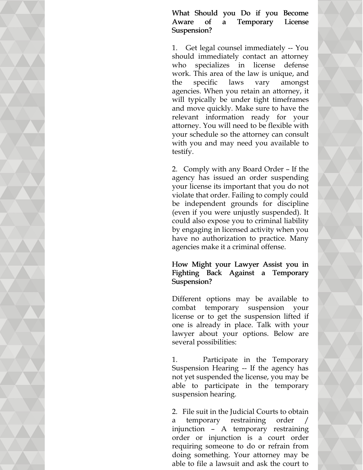What Should you Do if you Become Aware of a Temporary License Suspension?

1. Get legal counsel immediately -- You should immediately contact an attorney who specializes in license defense work. This area of the law is unique, and the specific laws vary amongst agencies. When you retain an attorney, it will typically be under tight timeframes and move quickly. Make sure to have the relevant information ready for your attorney. You will need to be flexible with your schedule so the attorney can consult with you and may need you available to testify.

2. Comply with any Board Order – If the agency has issued an order suspending your license its important that you do not violate that order. Failing to comply could be independent grounds for discipline (even if you were unjustly suspended). It could also expose you to criminal liability by engaging in licensed activity when you have no authorization to practice. Many agencies make it a criminal offense.

### How Might your Lawyer Assist you in Fighting Back Against a Temporary Suspension?

Different options may be available to combat temporary suspension your license or to get the suspension lifted if one is already in place. Talk with your lawyer about your options. Below are several possibilities:

1. Participate in the Temporary Suspension Hearing -- If the agency has not yet suspended the license, you may be able to participate in the temporary suspension hearing.

2. File suit in the Judicial Courts to obtain a temporary restraining order injunction – A temporary restraining order or injunction is a court order requiring someone to do or refrain from doing something. Your attorney may be able to file a lawsuit and ask the court to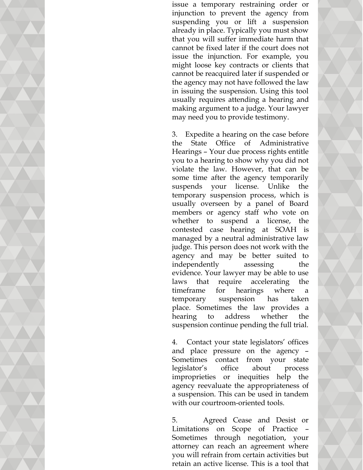issue a temporary restraining order or injunction to prevent the agency from suspending you or lift a suspension already in place. Typically you must show that you will suffer immediate harm that cannot be fixed later if the court does not issue the injunction. For example, you might loose key contracts or clients that cannot be reacquired later if suspended or the agency may not have followed the law in issuing the suspension. Using this tool usually requires attending a hearing and making argument to a judge. Your lawyer may need you to provide testimony.

3. Expedite a hearing on the case before the State Office of Administrative Hearings – Your due process rights entitle you to a hearing to show why you did not violate the law. However, that can be some time after the agency temporarily suspends your license. Unlike the temporary suspension process, which is usually overseen by a panel of Board members or agency staff who vote on whether to suspend a license, the contested case hearing at SOAH is managed by a neutral administrative law judge. This person does not work with the agency and may be better suited to independently assessing the evidence. Your lawyer may be able to use laws that require accelerating the timeframe for hearings where a temporary suspension has taken place. Sometimes the law provides a hearing to address whether the suspension continue pending the full trial.

4. Contact your state legislators' offices and place pressure on the agency – Sometimes contact from your state legislator's office about process improprieties or inequities help the agency reevaluate the appropriateness of a suspension. This can be used in tandem with our courtroom-oriented tools.

5. Agreed Cease and Desist or Limitations on Scope of Practice – Sometimes through negotiation, your attorney can reach an agreement where you will refrain from certain activities but retain an active license. This is a tool that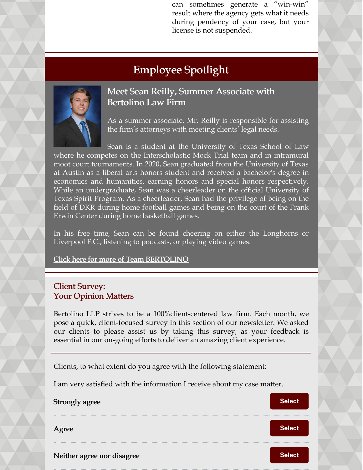can sometimes generate a "win-win" result where the agency gets what it needs during pendency of your case, but your license is not suspended.

# Employee Spotlight



Meet Sean Reilly, Summer Associate with Bertolino Law Firm

As a summer associate, Mr. Reilly is responsible for assisting the firm's attorneys with meeting clients' legal needs.

Sean is a student at the University of Texas School of Law where he competes on the Interscholastic Mock Trial team and in intramural moot court tournaments. In 2020, Sean graduated from the University of Texas at Austin as a liberal arts honors student and received a bachelor's degree in economics and humanities, earning honors and special honors respectively. While an undergraduate, Sean was a cheerleader on the official University of Texas Spirit Program. As a cheerleader, Sean had the privilege of being on the field of DKR during home football games and being on the court of the Frank Erwin Center during home basketball games.

In his free time, Sean can be found cheering on either the Longhorns or Liverpool F.C., listening to podcasts, or playing video games.

Click here for more of Team [BERTOLINO](https://www.belolaw.com/about/)

### Client Survey: Your Opinion Matters

Bertolino LLP strives to be a 100%client-centered law firm. Each month, we pose a quick, client-focused survey in this section of our newsletter. We asked our clients to please assist us by taking this survey, as your feedback is essential in our on-going efforts to deliver an amazing client experience.

Clients, to what extent do you agree with the following statement:

I am very satisfied with the information I receive about my case matter.

| Strongly agree             | <b>Select</b> |
|----------------------------|---------------|
| Agree                      | <b>Select</b> |
| Neither agree nor disagree | <b>Select</b> |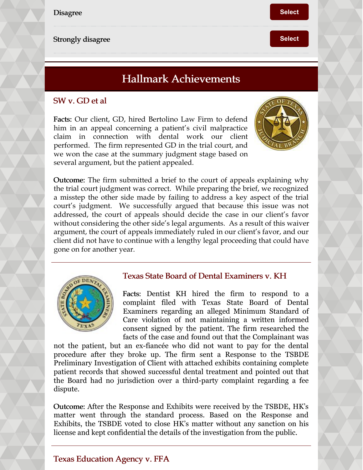

## Hallmark Achievements

### SW v. GD et al

Facts: Our client, GD, hired Bertolino Law Firm to defend him in an appeal concerning a patient's civil malpractice claim in connection with dental work our client performed. The firm represented GD in the trial court, and we won the case at the summary judgment stage based on several argument, but the patient appealed.



Outcome: The firm submitted a brief to the court of appeals explaining why the trial court judgment was correct. While preparing the brief, we recognized a misstep the other side made by failing to address a key aspect of the trial court's judgment. We successfully argued that because this issue was not addressed, the court of appeals should decide the case in our client's favor without considering the other side's legal arguments. As a result of this waiver argument, the court of appeals immediately ruled in our client's favor, and our client did not have to continue with a lengthy legal proceeding that could have gone on for another year.



### Texas State Board of Dental Examiners v. KH

Facts: Dentist KH hired the firm to respond to a complaint filed with Texas State Board of Dental Examiners regarding an alleged Minimum Standard of Care violation of not maintaining a written informed consent signed by the patient. The firm researched the facts of the case and found out that the Complainant was

not the patient, but an ex-fiancée who did not want to pay for the dental procedure after they broke up. The firm sent a Response to the TSBDE Preliminary Investigation of Client with attached exhibits containing complete patient records that showed successful dental treatment and pointed out that the Board had no jurisdiction over a third-party complaint regarding a fee dispute.

Outcome: After the Response and Exhibits were received by the TSBDE, HK's matter went through the standard process. Based on the Response and Exhibits, the TSBDE voted to close HK's matter without any sanction on his license and kept confidential the details of the investigation from the public.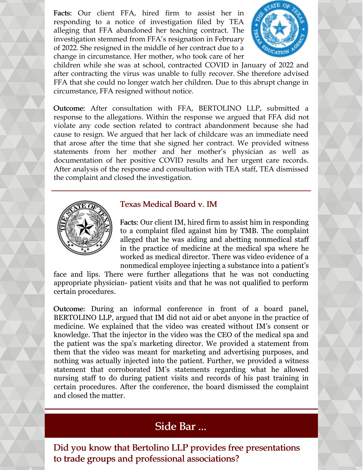Facts: Our client FFA, hired firm to assist her in responding to a notice of investigation filed by TEA alleging that FFA abandoned her teaching contract. The investigation stemmed from FFA's resignation in February of 2022. She resigned in the middle of her contract due to a change in circumstance. Her mother, who took care of her



children while she was at school, contracted COVID in January of 2022 and after contracting the virus was unable to fully recover. She therefore advised FFA that she could no longer watch her children. Due to this abrupt change in circumstance, FFA resigned without notice.

Outcome: After consultation with FFA, BERTOLINO LLP, submitted a response to the allegations. Within the response we argued that FFA did not violate any code section related to contract abandonment because she had cause to resign. We argued that her lack of childcare was an immediate need that arose after the time that she signed her contract. We provided witness statements from her mother and her mother's physician as well as documentation of her positive COVID results and her urgent care records. After analysis of the response and consultation with TEA staff, TEA dismissed the complaint and closed the investigation.



### Texas Medical Board v. IM

Facts: Our client IM, hired firm to assist him in responding to a complaint filed against him by TMB. The complaint alleged that he was aiding and abetting nonmedical staff in the practice of medicine at the medical spa where he worked as medical director. There was video evidence of a nonmedical employee injecting a substance into a patient's

face and lips. There were further allegations that he was not conducting appropriate physician- patient visits and that he was not qualified to perform certain procedures.

Outcome: During an informal conference in front of a board panel, BERTOLINO LLP, argued that IM did not aid or abet anyone in the practice of medicine. We explained that the video was created without IM's consent or knowledge. That the injector in the video was the CEO of the medical spa and the patient was the spa's marketing director. We provided a statement from them that the video was meant for marketing and advertising purposes, and nothing was actually injected into the patient. Further, we provided a witness statement that corroborated IM's statements regarding what he allowed nursing staff to do during patient visits and records of his past training in certain procedures. After the conference, the board dismissed the complaint and closed the matter.

## Side Bar ...

Did you know that Bertolino LLP provides free presentations to trade groups and professional associations?